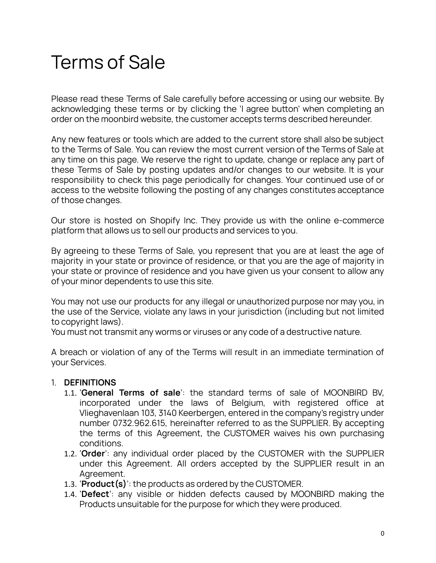# Terms of Sale

Please read these Terms of Sale carefully before accessing or using our website. By acknowledging these terms or by clicking the 'I agree button' when completing an order on the moonbird website, the customer accepts terms described hereunder.

Any new features or tools which are added to the current store shall also be subject to the Terms of Sale. You can review the most current version of the Terms of Sale at any time on this page. We reserve the right to update, change or replace any part of these Terms of Sale by posting updates and/or changes to our website. It is your responsibility to check this page periodically for changes. Your continued use of or access to the website following the posting of any changes constitutes acceptance of those changes.

Our store is hosted on Shopify Inc. They provide us with the online e-commerce platform that allows us to sell our products and services to you.

By agreeing to these Terms of Sale, you represent that you are at least the age of majority in your state or province of residence, or that you are the age of majority in your state or province of residence and you have given us your consent to allow any of your minor dependents to use this site.

You may not use our products for any illegal or unauthorized purpose nor may you, in the use of the Service, violate any laws in your jurisdiction (including but not limited to copyright laws).

You must not transmit any worms or viruses or any code of a destructive nature.

A breach or violation of any of the Terms will result in an immediate termination of your Services.

#### 1. **DEFINITIONS**

- 1.1. '**General Terms of sale**': the standard terms of sale of MOONBIRD BV, incorporated under the laws of Belgium, with registered office at Vlieghavenlaan 103, 3140 Keerbergen, entered in the company's registry under number 0732.962.615, hereinafter referred to as the SUPPLIER. By accepting the terms of this Agreement, the CUSTOMER waives his own purchasing conditions.
- 1.2. '**Order**': any individual order placed by the CUSTOMER with the SUPPLIER under this Agreement. All orders accepted by the SUPPLIER result in an Agreement.
- 1.3. '**Product(s)**': the products as ordered by the CUSTOMER.
- 1.4. '**Defect**': any visible or hidden defects caused by MOONBIRD making the Products unsuitable for the purpose for which they were produced.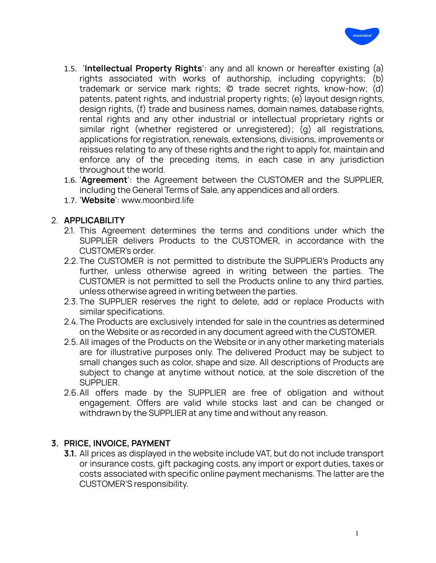

- 1.5. '**Intellectual Property Rights**': any and all known or hereafter existing (a) rights associated with works of authorship, including copyrights; (b) trademark or service mark rights;  $\odot$  trade secret rights, know-how; (d) patents, patent rights, and industrial property rights; (e) layout design rights, design rights, (f) trade and business names, domain names, database rights, rental rights and any other industrial or intellectual proprietary rights or similar right (whether registered or unregistered); (g) all registrations, applications for registration, renewals, extensions, divisions, improvements or reissues relating to any of these rights and the right to apply for, maintain and enforce any of the preceding items, in each case in any jurisdiction throughout the world.
- 1.6. '**Agreement**': the Agreement between the CUSTOMER and the SUPPLIER, including the General Terms of Sale, any appendices and all orders.
- 1.7. '**Website**': www.moonbird.life

## 2. **APPLICABILITY**

- 2.1. This Agreement determines the terms and conditions under which the SUPPLIER delivers Products to the CUSTOMER, in accordance with the CUSTOMER's order.
- 2.2. The CUSTOMER is not permitted to distribute the SUPPLIER's Products any further, unless otherwise agreed in writing between the parties. The CUSTOMER is not permitted to sell the Products online to any third parties, unless otherwise agreed in writing between the parties.
- 2.3. The SUPPLIER reserves the right to delete, add or replace Products with similar specifications.
- 2.4. The Products are exclusively intended for sale in the countries as determined on the Website or as recorded in any document agreed with the CUSTOMER.
- 2.5. All images of the Products on the Website or in any other marketing materials are for illustrative purposes only. The delivered Product may be subject to small changes such as color, shape and size. All descriptions of Products are subject to change at anytime without notice, at the sole discretion of the SUPPLIER.
- 2.6.All offers made by the SUPPLIER are free of obligation and without engagement. Offers are valid while stocks last and can be changed or withdrawn by the SUPPLIER at any time and without any reason.

# **3. PRICE, INVOICE, PAYMENT**

**3.1.** All prices as displayed in the website include VAT, but do not include transport or insurance costs, gift packaging costs, any import or export duties, taxes or costs associated with specific online payment mechanisms. The latter are the CUSTOMER'S responsibility.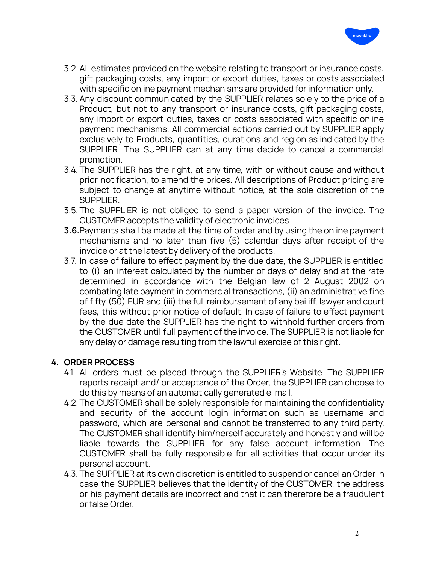

- 3.2. All estimates provided on the website relating to transport or insurance costs, gift packaging costs, any import or export duties, taxes or costs associated with specific online payment mechanisms are provided for information only.
- 3.3. Any discount communicated by the SUPPLIER relates solely to the price of a Product, but not to any transport or insurance costs, gift packaging costs, any import or export duties, taxes or costs associated with specific online payment mechanisms. All commercial actions carried out by SUPPLIER apply exclusively to Products, quantities, durations and region as indicated by the SUPPLIER. The SUPPLIER can at any time decide to cancel a commercial promotion.
- 3.4. The SUPPLIER has the right, at any time, with or without cause and without prior notification, to amend the prices. All descriptions of Product pricing are subject to change at anytime without notice, at the sole discretion of the SUPPLIER.
- 3.5. The SUPPLIER is not obliged to send a paper version of the invoice. The CUSTOMER accepts the validity of electronic invoices.
- **3.6.**Payments shall be made at the time of order and by using the online payment mechanisms and no later than five (5) calendar days after receipt of the invoice or at the latest by delivery of the products.
- 3.7. In case of failure to effect payment by the due date, the SUPPLIER is entitled to (i) an interest calculated by the number of days of delay and at the rate determined in accordance with the Belgian law of 2 August 2002 on combating late payment in commercial transactions, (ii) an administrative fine of fifty (50) EUR and (iii) the full reimbursement of any bailiff, lawyer and court fees, this without prior notice of default. In case of failure to effect payment by the due date the SUPPLIER has the right to withhold further orders from the CUSTOMER until full payment of the invoice. The SUPPLIER is not liable for any delay or damage resulting from the lawful exercise of this right.

# **4. ORDER PROCESS**

- 4.1. All orders must be placed through the SUPPLIER's Website. The SUPPLIER reports receipt and/ or acceptance of the Order, the SUPPLIER can choose to do this by means of an automatically generated e-mail.
- 4.2. The CUSTOMER shall be solely responsible for maintaining the confidentiality and security of the account login information such as username and password, which are personal and cannot be transferred to any third party. The CUSTOMER shall identify him/herself accurately and honestly and will be liable towards the SUPPLIER for any false account information. The CUSTOMER shall be fully responsible for all activities that occur under its personal account.
- 4.3. The SUPPLIER at its own discretion is entitled to suspend or cancel an Order in case the SUPPLIER believes that the identity of the CUSTOMER, the address or his payment details are incorrect and that it can therefore be a fraudulent or false Order.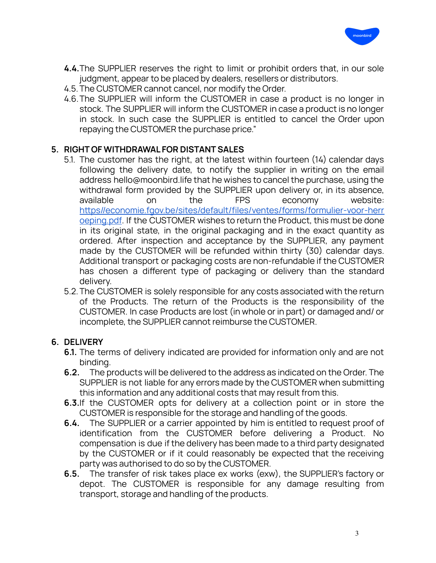

- **4.4.**The SUPPLIER reserves the right to limit or prohibit orders that, in our sole judgment, appear to be placed by dealers, resellers or distributors.
- 4.5. The CUSTOMER cannot cancel, nor modify the Order.
- 4.6.The SUPPLIER will inform the CUSTOMER in case a product is no longer in stock. The SUPPLIER will inform the CUSTOMER in case a product is no longer in stock. In such case the SUPPLIER is entitled to cancel the Order upon repaying the CUSTOMER the purchase price."

# **5. RIGHT OF WITHDRAWAL FOR DISTANT SALES**

- 5.1. The customer has the right, at the latest within fourteen (14) calendar days following the delivery date, to notify the supplier in writing on the email address hello@moonbird.life that he wishes to cancel the purchase, using the withdrawal form provided by the SUPPLIER upon delivery or, in its absence, available on the FPS economy website: [https//economie.fgov.be/sites/default/files/ventes/forms/formulier-voor-herr](https://economie.fgov.be/sites/default/files/Files/Ventes/Forms/formulier-voor-herroeping.pdf) [oeping.pdf](https://economie.fgov.be/sites/default/files/Files/Ventes/Forms/formulier-voor-herroeping.pdf). If the CUSTOMER wishes to return the Product, this must be done in its original state, in the original packaging and in the exact quantity as ordered. After inspection and acceptance by the SUPPLIER, any payment made by the CUSTOMER will be refunded within thirty (30) calendar days. Additional transport or packaging costs are non-refundable if the CUSTOMER has chosen a different type of packaging or delivery than the standard delivery.
- 5.2. The CUSTOMER is solely responsible for any costs associated with the return of the Products. The return of the Products is the responsibility of the CUSTOMER. In case Products are lost (in whole or in part) or damaged and/ or incomplete, the SUPPLIER cannot reimburse the CUSTOMER.

# **6. DELIVERY**

- **6.1.** The terms of delivery indicated are provided for information only and are not binding.
- **6.2.** The products will be delivered to the address as indicated on the Order. The SUPPLIER is not liable for any errors made by the CUSTOMER when submitting this information and any additional costs that may result from this.
- **6.3.**If the CUSTOMER opts for delivery at a collection point or in store the CUSTOMER is responsible for the storage and handling of the goods.
- **6.4.** The SUPPLIER or a carrier appointed by him is entitled to request proof of identification from the CUSTOMER before delivering a Product. No compensation is due if the delivery has been made to a third party designated by the CUSTOMER or if it could reasonably be expected that the receiving party was authorised to do so by the CUSTOMER.
- **6.5.** The transfer of risk takes place ex works (exw), the SUPPLIER's factory or depot. The CUSTOMER is responsible for any damage resulting from transport, storage and handling of the products.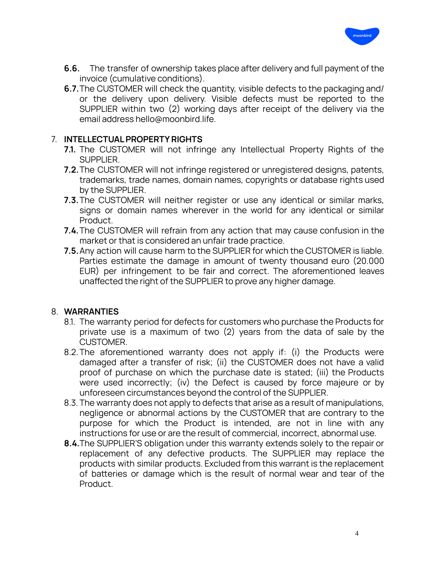

- **6.6.** The transfer of ownership takes place after delivery and full payment of the invoice (cumulative conditions).
- **6.7.**The CUSTOMER will check the quantity, visible defects to the packaging and/ or the delivery upon delivery. Visible defects must be reported to the SUPPLIER within two (2) working days after receipt of the delivery via the email address hello@moonbird.life.

# 7. **INTELLECTUALPROPERTYRIGHTS**

- **7.1.** The CUSTOMER will not infringe any Intellectual Property Rights of the SUPPLIER.
- **7.2.**The CUSTOMER will not infringe registered or unregistered designs, patents, trademarks, trade names, domain names, copyrights or database rights used by the SUPPLIER.
- **7.3.**The CUSTOMER will neither register or use any identical or similar marks, signs or domain names wherever in the world for any identical or similar Product.
- **7.4.**The CUSTOMER will refrain from any action that may cause confusion in the market or that is considered an unfair trade practice.
- **7.5.**Any action will cause harm to the SUPPLIER for which the CUSTOMER is liable. Parties estimate the damage in amount of twenty thousand euro (20.000 EUR) per infringement to be fair and correct. The aforementioned leaves unaffected the right of the SUPPLIER to prove any higher damage.

#### 8. **WARRANTIES**

- 8.1. The warranty period for defects for customers who purchase the Products for private use is a maximum of two (2) years from the data of sale by the CUSTOMER.
- 8.2. The aforementioned warranty does not apply if: (i) the Products were damaged after a transfer of risk; (ii) the CUSTOMER does not have a valid proof of purchase on which the purchase date is stated; (iii) the Products were used incorrectly; (iv) the Defect is caused by force majeure or by unforeseen circumstances beyond the control of the SUPPLIER.
- 8.3. The warranty does not apply to defects that arise as a result of manipulations, negligence or abnormal actions by the CUSTOMER that are contrary to the purpose for which the Product is intended, are not in line with any instructions for use or are the result of commercial, incorrect, abnormal use.
- **8.4.**The SUPPLIER'S obligation under this warranty extends solely to the repair or replacement of any defective products. The SUPPLIER may replace the products with similar products. Excluded from this warrant is the replacement of batteries or damage which is the result of normal wear and tear of the Product.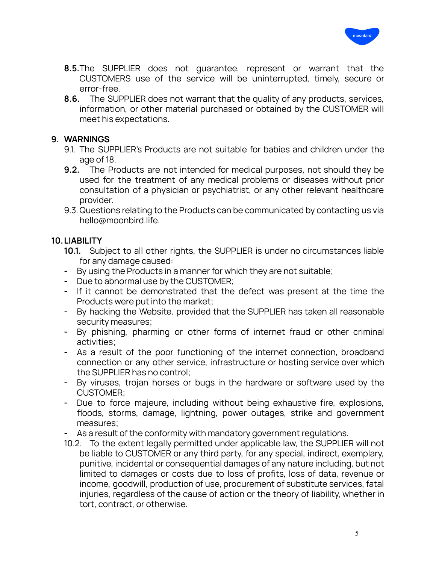

- **8.5.**The SUPPLIER does not guarantee, represent or warrant that the CUSTOMERS use of the service will be uninterrupted, timely, secure or error-free.
- **8.6.** The SUPPLIER does not warrant that the quality of any products, services, information, or other material purchased or obtained by the CUSTOMER will meet his expectations.

# **9. WARNINGS**

- 9.1. The SUPPLIER's Products are not suitable for babies and children under the age of 18.
- **9.2.** The Products are not intended for medical purposes, not should they be used for the treatment of any medical problems or diseases without prior consultation of a physician or psychiatrist, or any other relevant healthcare provider.
- 9.3. Questions relating to the Products can be communicated by contacting us via hello@moonbird.life.

# **10.LIABILITY**

- **10.1.** Subject to all other rights, the SUPPLIER is under no circumstances liable for any damage caused:
- **-** By using the Products in a manner for which they are not suitable;
- **-** Due to abnormal use by the CUSTOMER;
- **-** If it cannot be demonstrated that the defect was present at the time the Products were put into the market;
- **-** By hacking the Website, provided that the SUPPLIER has taken all reasonable security measures;
- **-** By phishing, pharming or other forms of internet fraud or other criminal activities;
- **-** As a result of the poor functioning of the internet connection, broadband connection or any other service, infrastructure or hosting service over which the SUPPLIER has no control;
- **-** By viruses, trojan horses or bugs in the hardware or software used by the CUSTOMER;
- **-** Due to force majeure, including without being exhaustive fire, explosions, floods, storms, damage, lightning, power outages, strike and government measures;
- **-** As a result of the conformity with mandatory government regulations.
- 10.2. To the extent legally permitted under applicable law, the SUPPLIER will not be liable to CUSTOMER or any third party, for any special, indirect, exemplary, punitive, incidental or consequential damages of any nature including, but not limited to damages or costs due to loss of profits, loss of data, revenue or income, goodwill, production of use, procurement of substitute services, fatal injuries, regardless of the cause of action or the theory of liability, whether in tort, contract, or otherwise.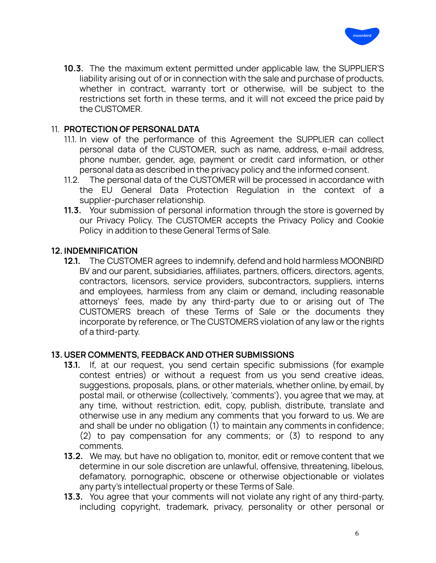

**10.3.** The the maximum extent permitted under applicable law, the SUPPLIER'S liability arising out of or in connection with the sale and purchase of products, whether in contract, warranty tort or otherwise, will be subject to the restrictions set forth in these terms, and it will not exceed the price paid by the CUSTOMER.

#### 11. **PROTECTION OF PERSONAL DATA**

- 11.1. In view of the performance of this Agreement the SUPPLIER can collect personal data of the CUSTOMER, such as name, address, e-mail address, phone number, gender, age, payment or credit card information, or other personal data as described in the privacy policy and the informed consent.
- 11.2. The personal data of the CUSTOMER will be processed in accordance with the EU General Data Protection Regulation in the context of a supplier-purchaser relationship.
- **11.3.** Your submission of personal information through the store is governed by our Privacy Policy. The CUSTOMER accepts the Privacy Policy and Cookie Policy in addition to these General Terms of Sale.

## **12. INDEMNIFICATION**

**12.1.** The CUSTOMER agrees to indemnify, defend and hold harmless MOONBIRD BV and our parent, subsidiaries, affiliates, partners, officers, directors, agents, contractors, licensors, service providers, subcontractors, suppliers, interns and employees, harmless from any claim or demand, including reasonable attorneys' fees, made by any third-party due to or arising out of The CUSTOMERS breach of these Terms of Sale or the documents they incorporate by reference, or The CUSTOMERS violation of any law or the rights of a third-party.

# **13. USER COMMENTS, FEEDBACK AND OTHER SUBMISSIONS**

- **13.1.** If, at our request, you send certain specific submissions (for example contest entries) or without a request from us you send creative ideas, suggestions, proposals, plans, or other materials, whether online, by email, by postal mail, or otherwise (collectively, 'comments'), you agree that we may, at any time, without restriction, edit, copy, publish, distribute, translate and otherwise use in any medium any comments that you forward to us. We are and shall be under no obligation (1) to maintain any comments in confidence; (2) to pay compensation for any comments; or (3) to respond to any comments.
- **13.2.** We may, but have no obligation to, monitor, edit or remove content that we determine in our sole discretion are unlawful, offensive, threatening, libelous, defamatory, pornographic, obscene or otherwise objectionable or violates any party's intellectual property or these Terms of Sale.
- **13.3.** You agree that your comments will not violate any right of any third-party, including copyright, trademark, privacy, personality or other personal or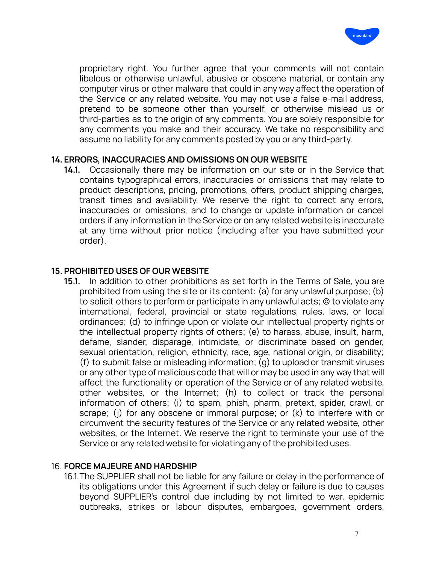

proprietary right. You further agree that your comments will not contain libelous or otherwise unlawful, abusive or obscene material, or contain any computer virus or other malware that could in any way affect the operation of the Service or any related website. You may not use a false e-mail address, pretend to be someone other than yourself, or otherwise mislead us or third-parties as to the origin of any comments. You are solely responsible for any comments you make and their accuracy. We take no responsibility and assume no liability for any comments posted by you or any third-party.

#### **14. ERRORS, INACCURACIES AND OMISSIONS ON OUR WEBSITE**

**14.1.** Occasionally there may be information on our site or in the Service that contains typographical errors, inaccuracies or omissions that may relate to product descriptions, pricing, promotions, offers, product shipping charges, transit times and availability. We reserve the right to correct any errors, inaccuracies or omissions, and to change or update information or cancel orders if any information in the Service or on any related website is inaccurate at any time without prior notice (including after you have submitted your order).

## **15. PROHIBITED USES OF OUR WEBSITE**

**15.1.** In addition to other prohibitions as set forth in the Terms of Sale, you are prohibited from using the site or its content: (a) for any unlawful purpose; (b) to solicit others to perform or participate in any unlawful acts;  $\odot$  to violate any international, federal, provincial or state regulations, rules, laws, or local ordinances; (d) to infringe upon or violate our intellectual property rights or the intellectual property rights of others; (e) to harass, abuse, insult, harm, defame, slander, disparage, intimidate, or discriminate based on gender, sexual orientation, religion, ethnicity, race, age, national origin, or disability; (f) to submit false or misleading information; (g) to upload or transmit viruses or any other type of malicious code that will or may be used in any way that will affect the functionality or operation of the Service or of any related website, other websites, or the Internet; (h) to collect or track the personal information of others; (i) to spam, phish, pharm, pretext, spider, crawl, or scrape; (i) for any obscene or immoral purpose; or (k) to interfere with or circumvent the security features of the Service or any related website, other websites, or the Internet. We reserve the right to terminate your use of the Service or any related website for violating any of the prohibited uses.

#### 16. **FORCE MAJEURE AND HARDSHIP**

16.1.The SUPPLIER shall not be liable for any failure or delay in the performance of its obligations under this Agreement if such delay or failure is due to causes beyond SUPPLIER's control due including by not limited to war, epidemic outbreaks, strikes or labour disputes, embargoes, government orders,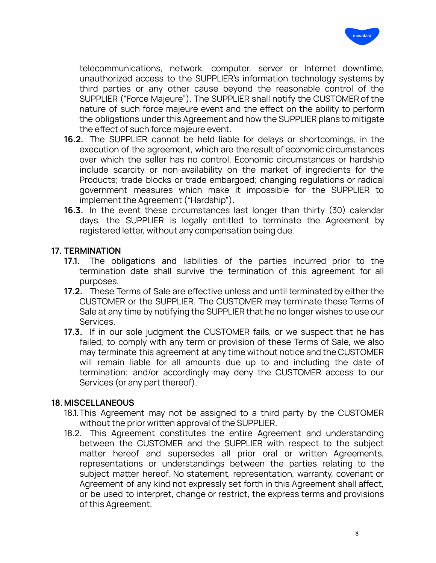

telecommunications, network, computer, server or Internet downtime, unauthorized access to the SUPPLIER's information technology systems by third parties or any other cause beyond the reasonable control of the SUPPLIER ("Force Majeure"). The SUPPLIER shall notify the CUSTOMER of the nature of such force majeure event and the effect on the ability to perform the obligations under this Agreement and how the SUPPLIER plans to mitigate the effect of such force majeure event.

- **16.2.** The SUPPLIER cannot be held liable for delays or shortcomings, in the execution of the agreement, which are the result of economic circumstances over which the seller has no control. Economic circumstances or hardship include scarcity or non-availability on the market of ingredients for the Products; trade blocks or trade embargoed; changing regulations or radical government measures which make it impossible for the SUPPLIER to implement the Agreement ("Hardship").
- **16.3.** In the event these circumstances last longer than thirty (30) calendar days, the SUPPLIER is legally entitled to terminate the Agreement by registered letter, without any compensation being due.

## **17. TERMINATION**

- **17.1.** The obligations and liabilities of the parties incurred prior to the termination date shall survive the termination of this agreement for all purposes.
- **17.2.** These Terms of Sale are effective unless and until terminated by either the CUSTOMER or the SUPPLIER. The CUSTOMER may terminate these Terms of Sale at any time by notifying the SUPPLIER that he no longer wishes to use our Services.
- **17.3.** If in our sole judgment the CUSTOMER fails, or we suspect that he has failed, to comply with any term or provision of these Terms of Sale, we also may terminate this agreement at any time without notice and the CUSTOMER will remain liable for all amounts due up to and including the date of termination; and/or accordingly may deny the CUSTOMER access to our Services (or any part thereof).

#### **18. MISCELLANEOUS**

- 18.1.This Agreement may not be assigned to a third party by the CUSTOMER without the prior written approval of the SUPPLIER.
- 18.2. This Agreement constitutes the entire Agreement and understanding between the CUSTOMER and the SUPPLIER with respect to the subject matter hereof and supersedes all prior oral or written Agreements, representations or understandings between the parties relating to the subject matter hereof. No statement, representation, warranty, covenant or Agreement of any kind not expressly set forth in this Agreement shall affect, or be used to interpret, change or restrict, the express terms and provisions of this Agreement.